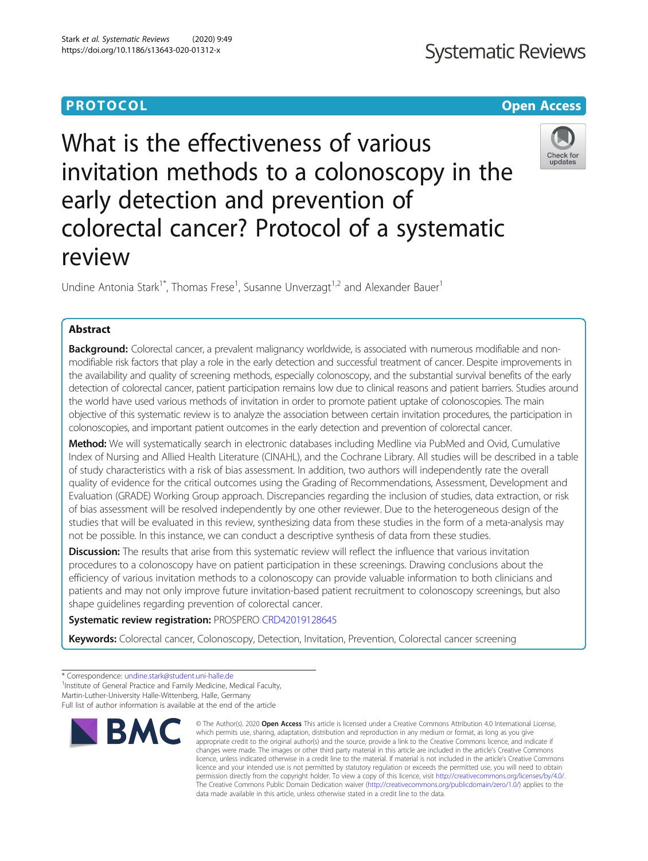# **PROTOCOL CONSUMING THE CONSUMING TEACHER CONSUMING THE CONSUMING TEACHER CONSUMING THE CONSUMING TEACHER CONSUMING THE CONSUMING TEACHER CONSUMING THE CONSUMING TEACHER CONSUMING THE CONSUMING TEACHER CONSUMING THE CONS**

# What is the effectiveness of various invitation methods to a colonoscopy in the early detection and prevention of colorectal cancer? Protocol of a systematic review

Undine Antonia Stark<sup>1\*</sup>, Thomas Frese<sup>1</sup>, Susanne Unverzagt<sup>1,2</sup> and Alexander Bauer<sup>1</sup>

# Abstract

Background: Colorectal cancer, a prevalent malignancy worldwide, is associated with numerous modifiable and nonmodifiable risk factors that play a role in the early detection and successful treatment of cancer. Despite improvements in the availability and quality of screening methods, especially colonoscopy, and the substantial survival benefits of the early detection of colorectal cancer, patient participation remains low due to clinical reasons and patient barriers. Studies around the world have used various methods of invitation in order to promote patient uptake of colonoscopies. The main objective of this systematic review is to analyze the association between certain invitation procedures, the participation in colonoscopies, and important patient outcomes in the early detection and prevention of colorectal cancer.

Method: We will systematically search in electronic databases including Medline via PubMed and Ovid, Cumulative Index of Nursing and Allied Health Literature (CINAHL), and the Cochrane Library. All studies will be described in a table of study characteristics with a risk of bias assessment. In addition, two authors will independently rate the overall quality of evidence for the critical outcomes using the Grading of Recommendations, Assessment, Development and Evaluation (GRADE) Working Group approach. Discrepancies regarding the inclusion of studies, data extraction, or risk of bias assessment will be resolved independently by one other reviewer. Due to the heterogeneous design of the studies that will be evaluated in this review, synthesizing data from these studies in the form of a meta-analysis may not be possible. In this instance, we can conduct a descriptive synthesis of data from these studies.

Discussion: The results that arise from this systematic review will reflect the influence that various invitation procedures to a colonoscopy have on patient participation in these screenings. Drawing conclusions about the efficiency of various invitation methods to a colonoscopy can provide valuable information to both clinicians and patients and may not only improve future invitation-based patient recruitment to colonoscopy screenings, but also shape guidelines regarding prevention of colorectal cancer.

# Systematic review registration: PROSPERO [CRD42019128645](https://www.crd.york.ac.uk/PROSPERO/display_record.php?RecordID=128645)

Keywords: Colorectal cancer, Colonoscopy, Detection, Invitation, Prevention, Colorectal cancer screening

**BMC** 

<sup>1</sup> Institute of General Practice and Family Medicine, Medical Faculty,



© The Author(s), 2020 **Open Access** This article is licensed under a Creative Commons Attribution 4.0 International License, which permits use, sharing, adaptation, distribution and reproduction in any medium or format, as long as you give



<sup>\*</sup> Correspondence: [undine.stark@student.uni-halle.de](mailto:undine.stark@student.uni-halle.de) <sup>1</sup>

Martin-Luther-University Halle-Wittenberg, Halle, Germany

Full list of author information is available at the end of the article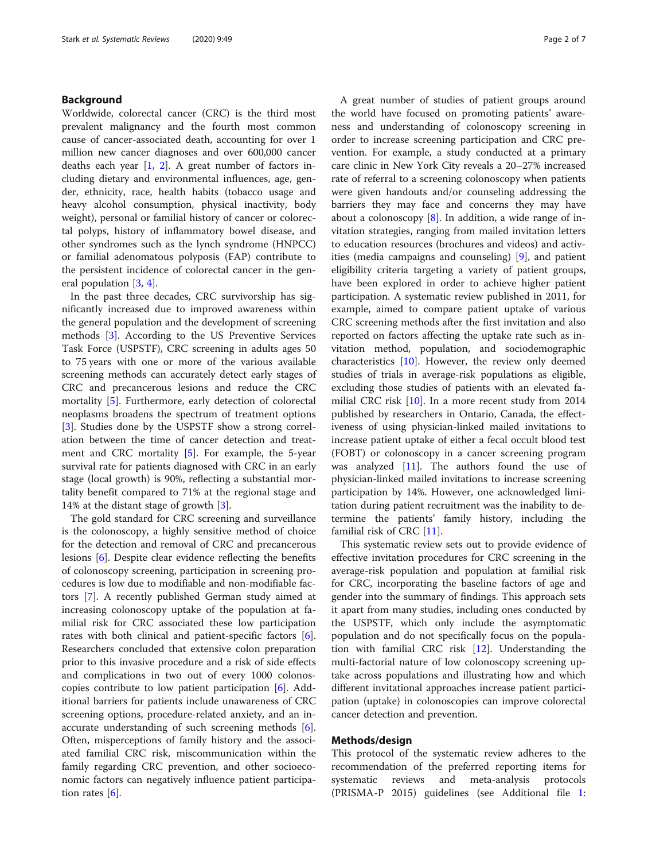# Background

Worldwide, colorectal cancer (CRC) is the third most prevalent malignancy and the fourth most common cause of cancer-associated death, accounting for over 1 million new cancer diagnoses and over 600,000 cancer deaths each year [\[1](#page-5-0), [2\]](#page-5-0). A great number of factors including dietary and environmental influences, age, gender, ethnicity, race, health habits (tobacco usage and heavy alcohol consumption, physical inactivity, body weight), personal or familial history of cancer or colorectal polyps, history of inflammatory bowel disease, and other syndromes such as the lynch syndrome (HNPCC) or familial adenomatous polyposis (FAP) contribute to the persistent incidence of colorectal cancer in the general population [[3,](#page-5-0) [4\]](#page-5-0).

In the past three decades, CRC survivorship has significantly increased due to improved awareness within the general population and the development of screening methods [[3\]](#page-5-0). According to the US Preventive Services Task Force (USPSTF), CRC screening in adults ages 50 to 75 years with one or more of the various available screening methods can accurately detect early stages of CRC and precancerous lesions and reduce the CRC mortality [\[5](#page-5-0)]. Furthermore, early detection of colorectal neoplasms broadens the spectrum of treatment options [[3\]](#page-5-0). Studies done by the USPSTF show a strong correlation between the time of cancer detection and treatment and CRC mortality [\[5](#page-5-0)]. For example, the 5-year survival rate for patients diagnosed with CRC in an early stage (local growth) is 90%, reflecting a substantial mortality benefit compared to 71% at the regional stage and 14% at the distant stage of growth [[3](#page-5-0)].

The gold standard for CRC screening and surveillance is the colonoscopy, a highly sensitive method of choice for the detection and removal of CRC and precancerous lesions [[6\]](#page-5-0). Despite clear evidence reflecting the benefits of colonoscopy screening, participation in screening procedures is low due to modifiable and non-modifiable factors [\[7](#page-5-0)]. A recently published German study aimed at increasing colonoscopy uptake of the population at familial risk for CRC associated these low participation rates with both clinical and patient-specific factors [\[6](#page-5-0)]. Researchers concluded that extensive colon preparation prior to this invasive procedure and a risk of side effects and complications in two out of every 1000 colonoscopies contribute to low patient participation [\[6](#page-5-0)]. Additional barriers for patients include unawareness of CRC screening options, procedure-related anxiety, and an inaccurate understanding of such screening methods [\[6](#page-5-0)]. Often, misperceptions of family history and the associated familial CRC risk, miscommunication within the family regarding CRC prevention, and other socioeconomic factors can negatively influence patient participation rates [\[6](#page-5-0)].

A great number of studies of patient groups around the world have focused on promoting patients' awareness and understanding of colonoscopy screening in order to increase screening participation and CRC prevention. For example, a study conducted at a primary care clinic in New York City reveals a 20–27% increased rate of referral to a screening colonoscopy when patients were given handouts and/or counseling addressing the barriers they may face and concerns they may have about a colonoscopy  $[8]$  $[8]$ . In addition, a wide range of invitation strategies, ranging from mailed invitation letters to education resources (brochures and videos) and activities (media campaigns and counseling) [\[9\]](#page-5-0), and patient eligibility criteria targeting a variety of patient groups, have been explored in order to achieve higher patient participation. A systematic review published in 2011, for example, aimed to compare patient uptake of various CRC screening methods after the first invitation and also reported on factors affecting the uptake rate such as invitation method, population, and sociodemographic characteristics [[10\]](#page-5-0). However, the review only deemed studies of trials in average-risk populations as eligible, excluding those studies of patients with an elevated fa-milial CRC risk [\[10\]](#page-5-0). In a more recent study from 2014 published by researchers in Ontario, Canada, the effectiveness of using physician-linked mailed invitations to increase patient uptake of either a fecal occult blood test (FOBT) or colonoscopy in a cancer screening program was analyzed [\[11\]](#page-5-0). The authors found the use of physician-linked mailed invitations to increase screening participation by 14%. However, one acknowledged limitation during patient recruitment was the inability to determine the patients' family history, including the familial risk of CRC [[11\]](#page-5-0).

This systematic review sets out to provide evidence of effective invitation procedures for CRC screening in the average-risk population and population at familial risk for CRC, incorporating the baseline factors of age and gender into the summary of findings. This approach sets it apart from many studies, including ones conducted by the USPSTF, which only include the asymptomatic population and do not specifically focus on the population with familial CRC risk [[12](#page-5-0)]. Understanding the multi-factorial nature of low colonoscopy screening uptake across populations and illustrating how and which different invitational approaches increase patient participation (uptake) in colonoscopies can improve colorectal cancer detection and prevention.

# Methods/design

This protocol of the systematic review adheres to the recommendation of the preferred reporting items for systematic reviews and meta-analysis protocols (PRISMA-P 2015) guidelines (see Additional file [1](#page-5-0):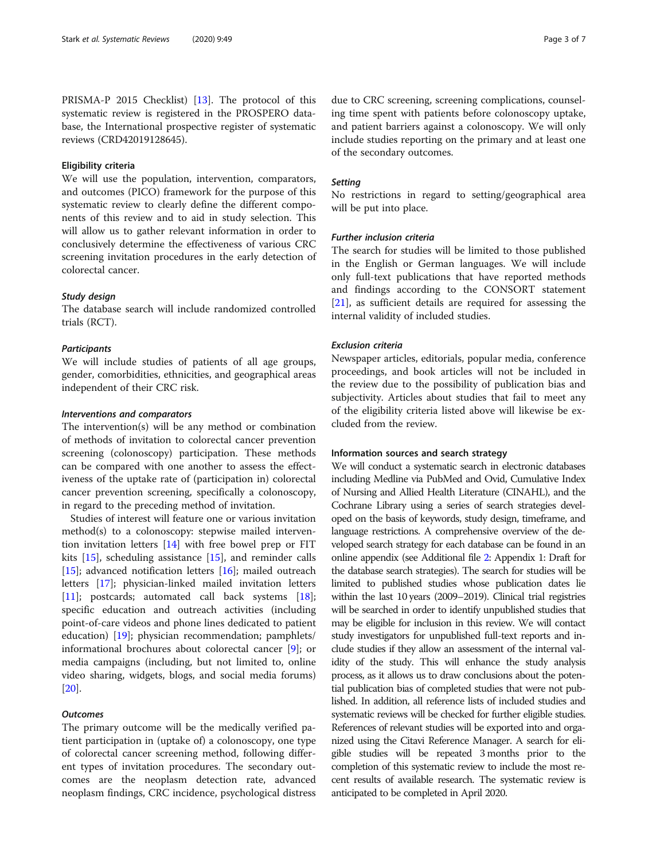PRISMA-P 2015 Checklist) [\[13\]](#page-5-0). The protocol of this systematic review is registered in the PROSPERO database, the International prospective register of systematic reviews (CRD42019128645).

#### Eligibility criteria

We will use the population, intervention, comparators, and outcomes (PICO) framework for the purpose of this systematic review to clearly define the different components of this review and to aid in study selection. This will allow us to gather relevant information in order to conclusively determine the effectiveness of various CRC screening invitation procedures in the early detection of colorectal cancer.

# Study design

The database search will include randomized controlled trials (RCT).

## **Participants**

We will include studies of patients of all age groups, gender, comorbidities, ethnicities, and geographical areas independent of their CRC risk.

## Interventions and comparators

The intervention(s) will be any method or combination of methods of invitation to colorectal cancer prevention screening (colonoscopy) participation. These methods can be compared with one another to assess the effectiveness of the uptake rate of (participation in) colorectal cancer prevention screening, specifically a colonoscopy, in regard to the preceding method of invitation.

Studies of interest will feature one or various invitation method(s) to a colonoscopy: stepwise mailed intervention invitation letters [[14\]](#page-5-0) with free bowel prep or FIT kits [\[15](#page-6-0)], scheduling assistance [[15\]](#page-6-0), and reminder calls [[15\]](#page-6-0); advanced notification letters  $[16]$  $[16]$ ; mailed outreach letters [[17](#page-6-0)]; physician-linked mailed invitation letters [[11\]](#page-5-0); postcards; automated call back systems [\[18](#page-6-0)]; specific education and outreach activities (including point-of-care videos and phone lines dedicated to patient education) [\[19](#page-6-0)]; physician recommendation; pamphlets/ informational brochures about colorectal cancer [\[9](#page-5-0)]; or media campaigns (including, but not limited to, online video sharing, widgets, blogs, and social media forums) [[20\]](#page-6-0).

#### **Outcomes**

The primary outcome will be the medically verified patient participation in (uptake of) a colonoscopy, one type of colorectal cancer screening method, following different types of invitation procedures. The secondary outcomes are the neoplasm detection rate, advanced neoplasm findings, CRC incidence, psychological distress due to CRC screening, screening complications, counseling time spent with patients before colonoscopy uptake, and patient barriers against a colonoscopy. We will only include studies reporting on the primary and at least one of the secondary outcomes.

#### **Setting**

No restrictions in regard to setting/geographical area will be put into place.

#### Further inclusion criteria

The search for studies will be limited to those published in the English or German languages. We will include only full-text publications that have reported methods and findings according to the CONSORT statement [[21\]](#page-6-0), as sufficient details are required for assessing the internal validity of included studies.

# Exclusion criteria

Newspaper articles, editorials, popular media, conference proceedings, and book articles will not be included in the review due to the possibility of publication bias and subjectivity. Articles about studies that fail to meet any of the eligibility criteria listed above will likewise be excluded from the review.

#### Information sources and search strategy

We will conduct a systematic search in electronic databases including Medline via PubMed and Ovid, Cumulative Index of Nursing and Allied Health Literature (CINAHL), and the Cochrane Library using a series of search strategies developed on the basis of keywords, study design, timeframe, and language restrictions. A comprehensive overview of the developed search strategy for each database can be found in an online appendix (see Additional file [2:](#page-5-0) Appendix 1: Draft for the database search strategies). The search for studies will be limited to published studies whose publication dates lie within the last 10 years (2009–2019). Clinical trial registries will be searched in order to identify unpublished studies that may be eligible for inclusion in this review. We will contact study investigators for unpublished full-text reports and include studies if they allow an assessment of the internal validity of the study. This will enhance the study analysis process, as it allows us to draw conclusions about the potential publication bias of completed studies that were not published. In addition, all reference lists of included studies and systematic reviews will be checked for further eligible studies. References of relevant studies will be exported into and organized using the Citavi Reference Manager. A search for eligible studies will be repeated 3 months prior to the completion of this systematic review to include the most recent results of available research. The systematic review is anticipated to be completed in April 2020.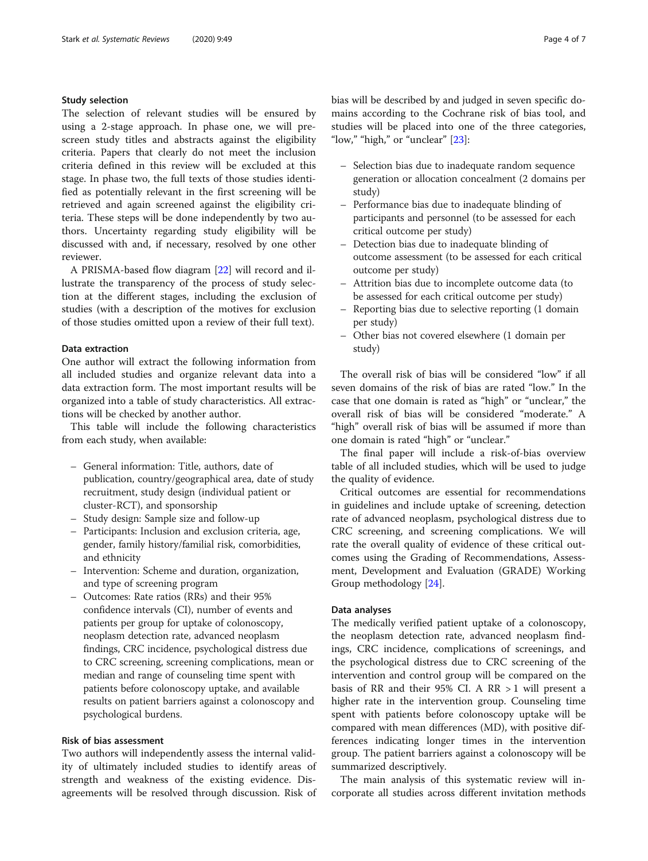# Study selection

The selection of relevant studies will be ensured by using a 2-stage approach. In phase one, we will prescreen study titles and abstracts against the eligibility criteria. Papers that clearly do not meet the inclusion criteria defined in this review will be excluded at this stage. In phase two, the full texts of those studies identified as potentially relevant in the first screening will be retrieved and again screened against the eligibility criteria. These steps will be done independently by two authors. Uncertainty regarding study eligibility will be discussed with and, if necessary, resolved by one other reviewer.

A PRISMA-based flow diagram [\[22](#page-6-0)] will record and illustrate the transparency of the process of study selection at the different stages, including the exclusion of studies (with a description of the motives for exclusion of those studies omitted upon a review of their full text).

## Data extraction

One author will extract the following information from all included studies and organize relevant data into a data extraction form. The most important results will be organized into a table of study characteristics. All extractions will be checked by another author.

This table will include the following characteristics from each study, when available:

- General information: Title, authors, date of publication, country/geographical area, date of study recruitment, study design (individual patient or cluster-RCT), and sponsorship
- Study design: Sample size and follow-up
- Participants: Inclusion and exclusion criteria, age, gender, family history/familial risk, comorbidities, and ethnicity
- Intervention: Scheme and duration, organization, and type of screening program
- Outcomes: Rate ratios (RRs) and their 95% confidence intervals (CI), number of events and patients per group for uptake of colonoscopy, neoplasm detection rate, advanced neoplasm findings, CRC incidence, psychological distress due to CRC screening, screening complications, mean or median and range of counseling time spent with patients before colonoscopy uptake, and available results on patient barriers against a colonoscopy and psychological burdens.

# Risk of bias assessment

Two authors will independently assess the internal validity of ultimately included studies to identify areas of strength and weakness of the existing evidence. Disagreements will be resolved through discussion. Risk of bias will be described by and judged in seven specific domains according to the Cochrane risk of bias tool, and studies will be placed into one of the three categories, "low," "high," or "unclear" [[23\]](#page-6-0):

- Selection bias due to inadequate random sequence generation or allocation concealment (2 domains per study)
- Performance bias due to inadequate blinding of participants and personnel (to be assessed for each critical outcome per study)
- Detection bias due to inadequate blinding of outcome assessment (to be assessed for each critical outcome per study)
- Attrition bias due to incomplete outcome data (to be assessed for each critical outcome per study)
- Reporting bias due to selective reporting (1 domain per study)
- Other bias not covered elsewhere (1 domain per study)

The overall risk of bias will be considered "low" if all seven domains of the risk of bias are rated "low." In the case that one domain is rated as "high" or "unclear," the overall risk of bias will be considered "moderate." A "high" overall risk of bias will be assumed if more than one domain is rated "high" or "unclear."

The final paper will include a risk-of-bias overview table of all included studies, which will be used to judge the quality of evidence.

Critical outcomes are essential for recommendations in guidelines and include uptake of screening, detection rate of advanced neoplasm, psychological distress due to CRC screening, and screening complications. We will rate the overall quality of evidence of these critical outcomes using the Grading of Recommendations, Assessment, Development and Evaluation (GRADE) Working Group methodology [[24](#page-6-0)].

## Data analyses

The medically verified patient uptake of a colonoscopy, the neoplasm detection rate, advanced neoplasm findings, CRC incidence, complications of screenings, and the psychological distress due to CRC screening of the intervention and control group will be compared on the basis of RR and their 95% CI. A RR  $> 1$  will present a higher rate in the intervention group. Counseling time spent with patients before colonoscopy uptake will be compared with mean differences (MD), with positive differences indicating longer times in the intervention group. The patient barriers against a colonoscopy will be summarized descriptively.

The main analysis of this systematic review will incorporate all studies across different invitation methods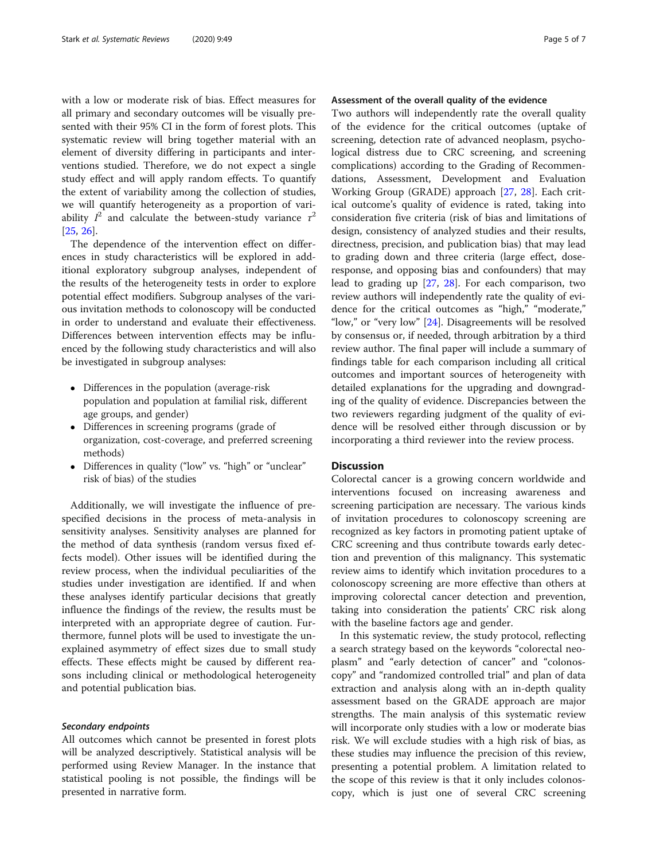with a low or moderate risk of bias. Effect measures for all primary and secondary outcomes will be visually presented with their 95% CI in the form of forest plots. This systematic review will bring together material with an element of diversity differing in participants and interventions studied. Therefore, we do not expect a single study effect and will apply random effects. To quantify the extent of variability among the collection of studies, we will quantify heterogeneity as a proportion of variability  $I^2$  and calculate the between-study variance  $\tau^2$ [[25,](#page-6-0) [26\]](#page-6-0).

The dependence of the intervention effect on differences in study characteristics will be explored in additional exploratory subgroup analyses, independent of the results of the heterogeneity tests in order to explore potential effect modifiers. Subgroup analyses of the various invitation methods to colonoscopy will be conducted in order to understand and evaluate their effectiveness. Differences between intervention effects may be influenced by the following study characteristics and will also be investigated in subgroup analyses:

- Differences in the population (average-risk population and population at familial risk, different age groups, and gender)
- Differences in screening programs (grade of organization, cost-coverage, and preferred screening methods)
- Differences in quality ("low" vs. "high" or "unclear" risk of bias) of the studies

Additionally, we will investigate the influence of prespecified decisions in the process of meta-analysis in sensitivity analyses. Sensitivity analyses are planned for the method of data synthesis (random versus fixed effects model). Other issues will be identified during the review process, when the individual peculiarities of the studies under investigation are identified. If and when these analyses identify particular decisions that greatly influence the findings of the review, the results must be interpreted with an appropriate degree of caution. Furthermore, funnel plots will be used to investigate the unexplained asymmetry of effect sizes due to small study effects. These effects might be caused by different reasons including clinical or methodological heterogeneity and potential publication bias.

## Secondary endpoints

All outcomes which cannot be presented in forest plots will be analyzed descriptively. Statistical analysis will be performed using Review Manager. In the instance that statistical pooling is not possible, the findings will be presented in narrative form.

# Assessment of the overall quality of the evidence

Two authors will independently rate the overall quality of the evidence for the critical outcomes (uptake of screening, detection rate of advanced neoplasm, psychological distress due to CRC screening, and screening complications) according to the Grading of Recommendations, Assessment, Development and Evaluation Working Group (GRADE) approach [[27,](#page-6-0) [28\]](#page-6-0). Each critical outcome's quality of evidence is rated, taking into consideration five criteria (risk of bias and limitations of design, consistency of analyzed studies and their results, directness, precision, and publication bias) that may lead to grading down and three criteria (large effect, doseresponse, and opposing bias and confounders) that may lead to grading up [[27,](#page-6-0) [28\]](#page-6-0). For each comparison, two review authors will independently rate the quality of evidence for the critical outcomes as "high," "moderate," "low," or "very low" [\[24](#page-6-0)]. Disagreements will be resolved by consensus or, if needed, through arbitration by a third review author. The final paper will include a summary of findings table for each comparison including all critical outcomes and important sources of heterogeneity with detailed explanations for the upgrading and downgrading of the quality of evidence. Discrepancies between the two reviewers regarding judgment of the quality of evidence will be resolved either through discussion or by incorporating a third reviewer into the review process.

# **Discussion**

Colorectal cancer is a growing concern worldwide and interventions focused on increasing awareness and screening participation are necessary. The various kinds of invitation procedures to colonoscopy screening are recognized as key factors in promoting patient uptake of CRC screening and thus contribute towards early detection and prevention of this malignancy. This systematic review aims to identify which invitation procedures to a colonoscopy screening are more effective than others at improving colorectal cancer detection and prevention, taking into consideration the patients' CRC risk along with the baseline factors age and gender.

In this systematic review, the study protocol, reflecting a search strategy based on the keywords "colorectal neoplasm" and "early detection of cancer" and "colonoscopy" and "randomized controlled trial" and plan of data extraction and analysis along with an in-depth quality assessment based on the GRADE approach are major strengths. The main analysis of this systematic review will incorporate only studies with a low or moderate bias risk. We will exclude studies with a high risk of bias, as these studies may influence the precision of this review, presenting a potential problem. A limitation related to the scope of this review is that it only includes colonoscopy, which is just one of several CRC screening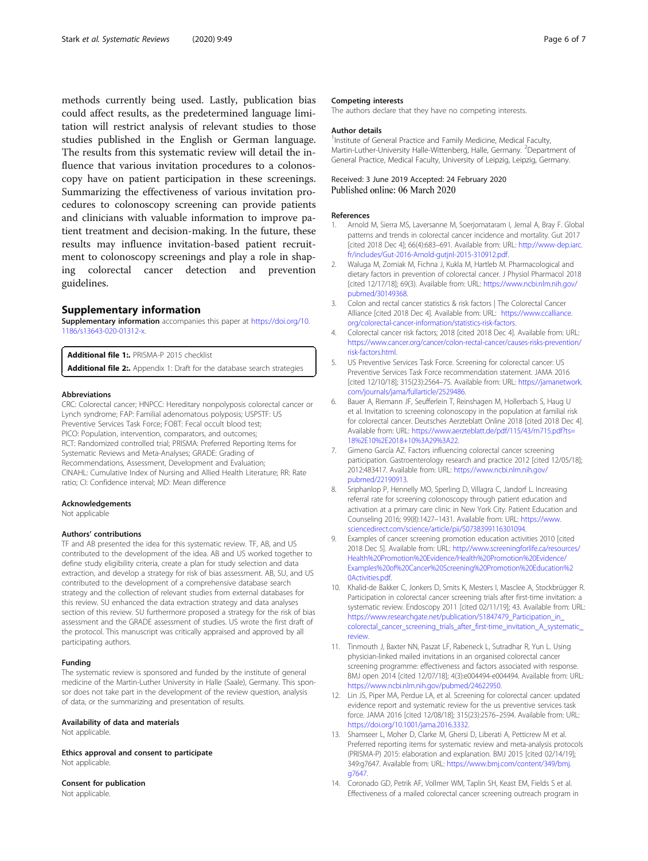<span id="page-5-0"></span>methods currently being used. Lastly, publication bias could affect results, as the predetermined language limitation will restrict analysis of relevant studies to those studies published in the English or German language. The results from this systematic review will detail the influence that various invitation procedures to a colonoscopy have on patient participation in these screenings. Summarizing the effectiveness of various invitation procedures to colonoscopy screening can provide patients and clinicians with valuable information to improve patient treatment and decision-making. In the future, these results may influence invitation-based patient recruitment to colonoscopy screenings and play a role in shaping colorectal cancer detection and prevention guidelines.

#### Supplementary information

Supplementary information accompanies this paper at [https://doi.org/10.](https://doi.org/10.1186/s13643-020-01312-x) [1186/s13643-020-01312-x.](https://doi.org/10.1186/s13643-020-01312-x)

Additional file 1: PRISMA-P 2015 checklist Additional file 2:. Appendix 1: Draft for the database search strategies

#### Abbreviations

CRC: Colorectal cancer; HNPCC: Hereditary nonpolyposis colorectal cancer or Lynch syndrome; FAP: Familial adenomatous polyposis; USPSTF: US Preventive Services Task Force; FOBT: Fecal occult blood test; PICO: Population, intervention, comparators, and outcomes; RCT: Randomized controlled trial; PRISMA: Preferred Reporting Items for Systematic Reviews and Meta-Analyses; GRADE: Grading of Recommendations, Assessment, Development and Evaluation; CINAHL: Cumulative Index of Nursing and Allied Health Literature; RR: Rate ratio; CI: Confidence interval; MD: Mean difference

#### Acknowledgements

Not applicable

#### Authors' contributions

TF and AB presented the idea for this systematic review. TF, AB, and US contributed to the development of the idea. AB and US worked together to define study eligibility criteria, create a plan for study selection and data extraction, and develop a strategy for risk of bias assessment. AB, SU, and US contributed to the development of a comprehensive database search strategy and the collection of relevant studies from external databases for this review. SU enhanced the data extraction strategy and data analyses section of this review. SU furthermore proposed a strategy for the risk of bias assessment and the GRADE assessment of studies. US wrote the first draft of the protocol. This manuscript was critically appraised and approved by all participating authors.

#### Funding

The systematic review is sponsored and funded by the institute of general medicine of the Martin-Luther University in Halle (Saale), Germany. This sponsor does not take part in the development of the review question, analysis of data, or the summarizing and presentation of results.

#### Availability of data and materials

Not applicable.

Ethics approval and consent to participate Not applicable

Consent for publication Not applicable.

#### Competing interests

The authors declare that they have no competing interests.

#### Author details

<sup>1</sup>Institute of General Practice and Family Medicine, Medical Faculty, Martin-Luther-University Halle-Wittenberg, Halle, Germany. <sup>2</sup>Department of General Practice, Medical Faculty, University of Leipzig, Leipzig, Germany.

## Received: 3 June 2019 Accepted: 24 February 2020 Published online: 06 March 2020

#### References

- 1. Arnold M, Sierra MS, Laversanne M, Soerjomataram I, Jemal A, Bray F. Global patterns and trends in colorectal cancer incidence and mortality. Gut 2017 [cited 2018 Dec 4]; 66(4):683–691. Available from: URL: [http://www-dep.iarc.](http://www-dep.iarc.fr/includes/Gut-2016-Arnold-gutjnl-2015-310912.pdf) [fr/includes/Gut-2016-Arnold-gutjnl-2015-310912.pdf.](http://www-dep.iarc.fr/includes/Gut-2016-Arnold-gutjnl-2015-310912.pdf)
- 2. Waluga M, Zorniak M, Fichna J, Kukla M, Hartleb M. Pharmacological and dietary factors in prevention of colorectal cancer. J Physiol Pharmacol 2018 [cited 12/17/18]; 69(3). Available from: URL: [https://www.ncbi.nlm.nih.gov/](https://www.ncbi.nlm.nih.gov/pubmed/30149368) [pubmed/30149368.](https://www.ncbi.nlm.nih.gov/pubmed/30149368)
- 3. Colon and rectal cancer statistics & risk factors | The Colorectal Cancer Alliance [cited 2018 Dec 4]. Available from: URL: [https://www.ccalliance.](https://www.ccalliance.org/colorectal-cancer-information/statistics-risk-factors) [org/colorectal-cancer-information/statistics-risk-factors](https://www.ccalliance.org/colorectal-cancer-information/statistics-risk-factors).
- 4. Colorectal cancer risk factors; 2018 [cited 2018 Dec 4]. Available from: URL: [https://www.cancer.org/cancer/colon-rectal-cancer/causes-risks-prevention/](https://www.cancer.org/cancer/colon-rectal-cancer/causes-risks-prevention/risk-factors.html) [risk-factors.html](https://www.cancer.org/cancer/colon-rectal-cancer/causes-risks-prevention/risk-factors.html).
- 5. US Preventive Services Task Force. Screening for colorectal cancer: US Preventive Services Task Force recommendation statement. JAMA 2016 [cited 12/10/18]; 315(23):2564–75. Available from: URL: [https://jamanetwork.](https://jamanetwork.com/journals/jama/fullarticle/2529486) [com/journals/jama/fullarticle/2529486](https://jamanetwork.com/journals/jama/fullarticle/2529486).
- 6. Bauer A, Riemann JF, Seufferlein T, Reinshagen M, Hollerbach S, Haug U et al. Invitation to screening colonoscopy in the population at familial risk for colorectal cancer. Deutsches Aerzteblatt Online 2018 [cited 2018 Dec 4]. Available from: URL: [https://www.aerzteblatt.de/pdf/115/43/m715.pdf?ts=](https://www.aerzteblatt.de/pdf/115/43/m715.pdf?ts=18%2E10%2E2018+10%3A29%3A22) [18%2E10%2E2018+10%3A29%3A22](https://www.aerzteblatt.de/pdf/115/43/m715.pdf?ts=18%2E10%2E2018+10%3A29%3A22).
- 7. Gimeno García AZ. Factors influencing colorectal cancer screening participation. Gastroenterology research and practice 2012 [cited 12/05/18]; 2012:483417. Available from: URL: [https://www.ncbi.nlm.nih.gov/](https://www.ncbi.nlm.nih.gov/pubmed/22190913) [pubmed/22190913.](https://www.ncbi.nlm.nih.gov/pubmed/22190913)
- 8. Sriphanlop P, Hennelly MO, Sperling D, Villagra C, Jandorf L. Increasing referral rate for screening colonoscopy through patient education and activation at a primary care clinic in New York City. Patient Education and Counseling 2016; 99(8):1427–1431. Available from: URL: [https://www.](https://www.sciencedirect.com/science/article/pii/S0738399116301094) [sciencedirect.com/science/article/pii/S0738399116301094.](https://www.sciencedirect.com/science/article/pii/S0738399116301094)
- 9. Examples of cancer screening promotion education activities 2010 [cited 2018 Dec 5]. Available from: URL: [http://www.screeningforlife.ca/resources/](http://www.screeningforlife.ca/resources/Health%20Promotion%20Evidence/Health%20Promotion%20Evidence/Examples%20of%20Cancer%20Screening%20Promotion%20Education%20Activities.pdf) [Health%20Promotion%20Evidence/Health%20Promotion%20Evidence/](http://www.screeningforlife.ca/resources/Health%20Promotion%20Evidence/Health%20Promotion%20Evidence/Examples%20of%20Cancer%20Screening%20Promotion%20Education%20Activities.pdf) [Examples%20of%20Cancer%20Screening%20Promotion%20Education%2](http://www.screeningforlife.ca/resources/Health%20Promotion%20Evidence/Health%20Promotion%20Evidence/Examples%20of%20Cancer%20Screening%20Promotion%20Education%20Activities.pdf) [0Activities.pdf](http://www.screeningforlife.ca/resources/Health%20Promotion%20Evidence/Health%20Promotion%20Evidence/Examples%20of%20Cancer%20Screening%20Promotion%20Education%20Activities.pdf).
- 10. Khalid-de Bakker C, Jonkers D, Smits K, Mesters I, Masclee A, Stockbrügger R. Participation in colorectal cancer screening trials after first-time invitation: a systematic review. Endoscopy 2011 [cited 02/11/19]; 43. Available from: URL: [https://www.researchgate.net/publication/51847479\\_Participation\\_in\\_](https://www.researchgate.net/publication/51847479_Participation_in_colorectal_cancer_screening_trials_after_first-time_invitation_A_systematic_review) [colorectal\\_cancer\\_screening\\_trials\\_after\\_first-time\\_invitation\\_A\\_systematic\\_](https://www.researchgate.net/publication/51847479_Participation_in_colorectal_cancer_screening_trials_after_first-time_invitation_A_systematic_review) [review](https://www.researchgate.net/publication/51847479_Participation_in_colorectal_cancer_screening_trials_after_first-time_invitation_A_systematic_review).
- 11. Tinmouth J, Baxter NN, Paszat LF, Rabeneck L, Sutradhar R, Yun L. Using physician-linked mailed invitations in an organised colorectal cancer screening programme: effectiveness and factors associated with response. BMJ open 2014 [cited 12/07/18]; 4(3):e004494-e004494. Available from: URL: <https://www.ncbi.nlm.nih.gov/pubmed/24622950>.
- 12. Lin JS, Piper MA, Perdue LA, et al. Screening for colorectal cancer: updated evidence report and systematic review for the us preventive services task force. JAMA 2016 [cited 12/08/18]; 315(23):2576–2594. Available from: URL: <https://doi.org/10.1001/jama.2016.3332>.
- 13. Shamseer L, Moher D, Clarke M, Ghersi D, Liberati A, Petticrew M et al. Preferred reporting items for systematic review and meta-analysis protocols (PRISMA-P) 2015: elaboration and explanation. BMJ 2015 [cited 02/14/19]; 349:g7647. Available from: URL: [https://www.bmj.com/content/349/bmj.](https://www.bmj.com/content/349/bmj.g7647) [g7647](https://www.bmj.com/content/349/bmj.g7647).
- 14. Coronado GD, Petrik AF, Vollmer WM, Taplin SH, Keast EM, Fields S et al. Effectiveness of a mailed colorectal cancer screening outreach program in